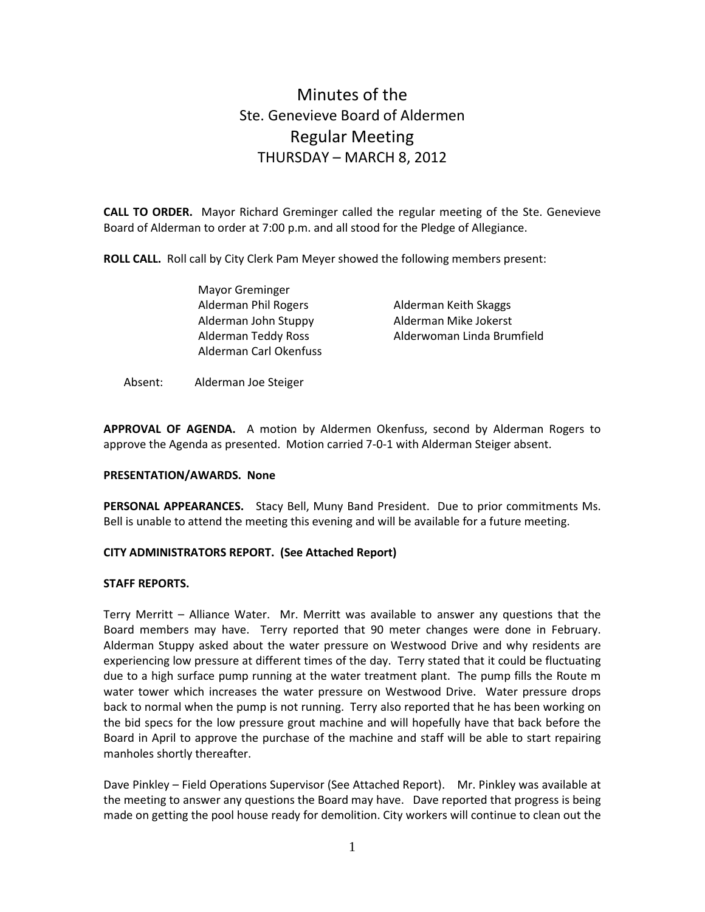# Minutes of the Ste. Genevieve Board of Aldermen Regular Meeting THURSDAY – MARCH 8, 2012

CALL TO ORDER. Mayor Richard Greminger called the regular meeting of the Ste. Genevieve Board of Alderman to order at 7:00 p.m. and all stood for the Pledge of Allegiance.

ROLL CALL. Roll call by City Clerk Pam Meyer showed the following members present:

 Mayor Greminger Alderman Phil Rogers Alderman Keith Skaggs Alderman John Stuppy Alderman Mike Jokerst Alderman Carl Okenfuss

Alderman Teddy Ross Alderwoman Linda Brumfield

Absent: Alderman Joe Steiger

APPROVAL OF AGENDA. A motion by Aldermen Okenfuss, second by Alderman Rogers to approve the Agenda as presented. Motion carried 7-0-1 with Alderman Steiger absent.

# PRESENTATION/AWARDS. None

PERSONAL APPEARANCES. Stacy Bell, Muny Band President. Due to prior commitments Ms. Bell is unable to attend the meeting this evening and will be available for a future meeting.

# CITY ADMINISTRATORS REPORT. (See Attached Report)

#### STAFF REPORTS.

Terry Merritt – Alliance Water. Mr. Merritt was available to answer any questions that the Board members may have. Terry reported that 90 meter changes were done in February. Alderman Stuppy asked about the water pressure on Westwood Drive and why residents are experiencing low pressure at different times of the day. Terry stated that it could be fluctuating due to a high surface pump running at the water treatment plant. The pump fills the Route m water tower which increases the water pressure on Westwood Drive. Water pressure drops back to normal when the pump is not running. Terry also reported that he has been working on the bid specs for the low pressure grout machine and will hopefully have that back before the Board in April to approve the purchase of the machine and staff will be able to start repairing manholes shortly thereafter.

Dave Pinkley – Field Operations Supervisor (See Attached Report). Mr. Pinkley was available at the meeting to answer any questions the Board may have. Dave reported that progress is being made on getting the pool house ready for demolition. City workers will continue to clean out the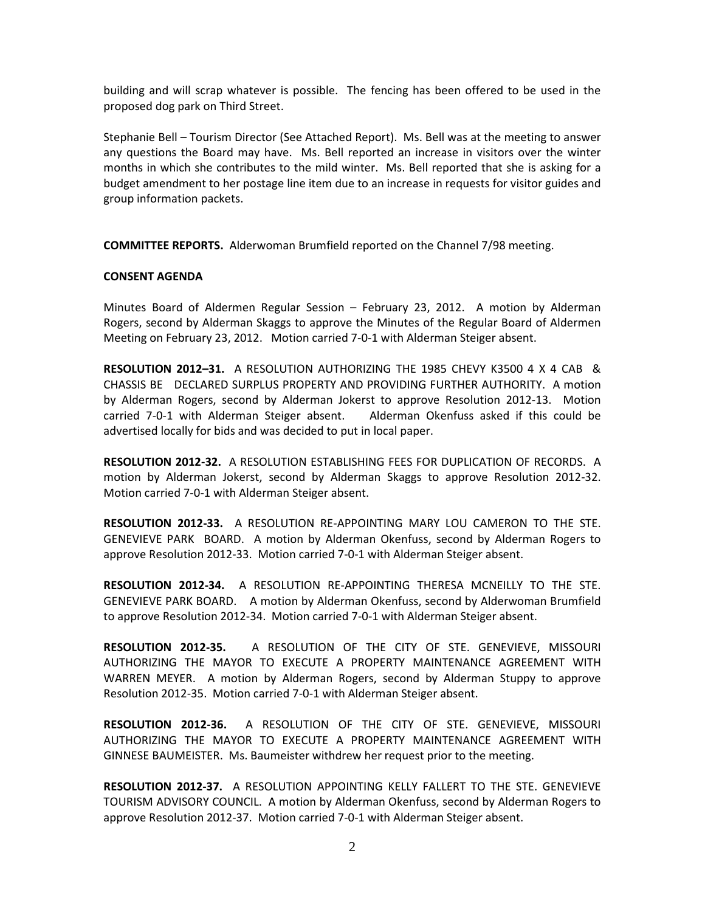building and will scrap whatever is possible. The fencing has been offered to be used in the proposed dog park on Third Street.

Stephanie Bell – Tourism Director (See Attached Report). Ms. Bell was at the meeting to answer any questions the Board may have. Ms. Bell reported an increase in visitors over the winter months in which she contributes to the mild winter. Ms. Bell reported that she is asking for a budget amendment to her postage line item due to an increase in requests for visitor guides and group information packets.

COMMITTEE REPORTS. Alderwoman Brumfield reported on the Channel 7/98 meeting.

#### CONSENT AGENDA

Minutes Board of Aldermen Regular Session – February 23, 2012. A motion by Alderman Rogers, second by Alderman Skaggs to approve the Minutes of the Regular Board of Aldermen Meeting on February 23, 2012. Motion carried 7-0-1 with Alderman Steiger absent.

RESOLUTION 2012–31. A RESOLUTION AUTHORIZING THE 1985 CHEVY K3500 4 X 4 CAB & CHASSIS BE DECLARED SURPLUS PROPERTY AND PROVIDING FURTHER AUTHORITY. A motion by Alderman Rogers, second by Alderman Jokerst to approve Resolution 2012-13. Motion carried 7-0-1 with Alderman Steiger absent. Alderman Okenfuss asked if this could be advertised locally for bids and was decided to put in local paper.

RESOLUTION 2012-32. A RESOLUTION ESTABLISHING FEES FOR DUPLICATION OF RECORDS. A motion by Alderman Jokerst, second by Alderman Skaggs to approve Resolution 2012-32. Motion carried 7-0-1 with Alderman Steiger absent.

RESOLUTION 2012-33. A RESOLUTION RE-APPOINTING MARY LOU CAMERON TO THE STE. GENEVIEVE PARK BOARD. A motion by Alderman Okenfuss, second by Alderman Rogers to approve Resolution 2012-33. Motion carried 7-0-1 with Alderman Steiger absent.

RESOLUTION 2012-34. A RESOLUTION RE-APPOINTING THERESA MCNEILLY TO THE STE. GENEVIEVE PARK BOARD. A motion by Alderman Okenfuss, second by Alderwoman Brumfield to approve Resolution 2012-34. Motion carried 7-0-1 with Alderman Steiger absent.

RESOLUTION 2012-35. A RESOLUTION OF THE CITY OF STE. GENEVIEVE, MISSOURI AUTHORIZING THE MAYOR TO EXECUTE A PROPERTY MAINTENANCE AGREEMENT WITH WARREN MEYER. A motion by Alderman Rogers, second by Alderman Stuppy to approve Resolution 2012-35. Motion carried 7-0-1 with Alderman Steiger absent.

RESOLUTION 2012-36. A RESOLUTION OF THE CITY OF STE. GENEVIEVE, MISSOURI AUTHORIZING THE MAYOR TO EXECUTE A PROPERTY MAINTENANCE AGREEMENT WITH GINNESE BAUMEISTER. Ms. Baumeister withdrew her request prior to the meeting.

RESOLUTION 2012-37. A RESOLUTION APPOINTING KELLY FALLERT TO THE STE. GENEVIEVE TOURISM ADVISORY COUNCIL. A motion by Alderman Okenfuss, second by Alderman Rogers to approve Resolution 2012-37. Motion carried 7-0-1 with Alderman Steiger absent.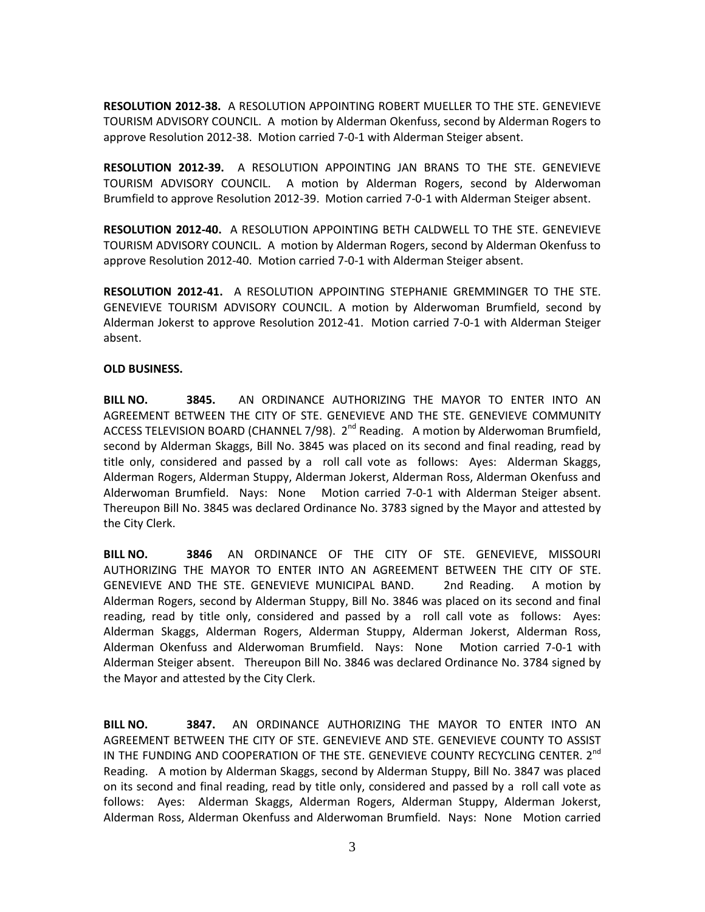RESOLUTION 2012-38. A RESOLUTION APPOINTING ROBERT MUELLER TO THE STE. GENEVIEVE TOURISM ADVISORY COUNCIL. A motion by Alderman Okenfuss, second by Alderman Rogers to approve Resolution 2012-38. Motion carried 7-0-1 with Alderman Steiger absent.

RESOLUTION 2012-39. A RESOLUTION APPOINTING JAN BRANS TO THE STE. GENEVIEVE TOURISM ADVISORY COUNCIL. A motion by Alderman Rogers, second by Alderwoman Brumfield to approve Resolution 2012-39. Motion carried 7-0-1 with Alderman Steiger absent.

RESOLUTION 2012-40. A RESOLUTION APPOINTING BETH CALDWELL TO THE STE. GENEVIEVE TOURISM ADVISORY COUNCIL. A motion by Alderman Rogers, second by Alderman Okenfuss to approve Resolution 2012-40. Motion carried 7-0-1 with Alderman Steiger absent.

RESOLUTION 2012-41. A RESOLUTION APPOINTING STEPHANIE GREMMINGER TO THE STE. GENEVIEVE TOURISM ADVISORY COUNCIL. A motion by Alderwoman Brumfield, second by Alderman Jokerst to approve Resolution 2012-41. Motion carried 7-0-1 with Alderman Steiger absent.

# OLD BUSINESS.

BILL NO. 3845. AN ORDINANCE AUTHORIZING THE MAYOR TO ENTER INTO AN AGREEMENT BETWEEN THE CITY OF STE. GENEVIEVE AND THE STE. GENEVIEVE COMMUNITY ACCESS TELEVISION BOARD (CHANNEL 7/98).  $2^{nd}$  Reading. A motion by Alderwoman Brumfield, second by Alderman Skaggs, Bill No. 3845 was placed on its second and final reading, read by title only, considered and passed by a roll call vote as follows: Ayes: Alderman Skaggs, Alderman Rogers, Alderman Stuppy, Alderman Jokerst, Alderman Ross, Alderman Okenfuss and Alderwoman Brumfield. Nays: None Motion carried 7-0-1 with Alderman Steiger absent. Thereupon Bill No. 3845 was declared Ordinance No. 3783 signed by the Mayor and attested by the City Clerk.

BILL NO. 3846 AN ORDINANCE OF THE CITY OF STE. GENEVIEVE, MISSOURI AUTHORIZING THE MAYOR TO ENTER INTO AN AGREEMENT BETWEEN THE CITY OF STE. GENEVIEVE AND THE STE. GENEVIEVE MUNICIPAL BAND. 2nd Reading. A motion by Alderman Rogers, second by Alderman Stuppy, Bill No. 3846 was placed on its second and final reading, read by title only, considered and passed by a roll call vote as follows: Ayes: Alderman Skaggs, Alderman Rogers, Alderman Stuppy, Alderman Jokerst, Alderman Ross, Alderman Okenfuss and Alderwoman Brumfield. Nays: None Motion carried 7-0-1 with Alderman Steiger absent. Thereupon Bill No. 3846 was declared Ordinance No. 3784 signed by the Mayor and attested by the City Clerk.

BILL NO. 3847. AN ORDINANCE AUTHORIZING THE MAYOR TO ENTER INTO AN AGREEMENT BETWEEN THE CITY OF STE. GENEVIEVE AND STE. GENEVIEVE COUNTY TO ASSIST IN THE FUNDING AND COOPERATION OF THE STE. GENEVIEVE COUNTY RECYCLING CENTER. 2<sup>nd</sup> Reading. A motion by Alderman Skaggs, second by Alderman Stuppy, Bill No. 3847 was placed on its second and final reading, read by title only, considered and passed by a roll call vote as follows: Ayes: Alderman Skaggs, Alderman Rogers, Alderman Stuppy, Alderman Jokerst, Alderman Ross, Alderman Okenfuss and Alderwoman Brumfield. Nays: None Motion carried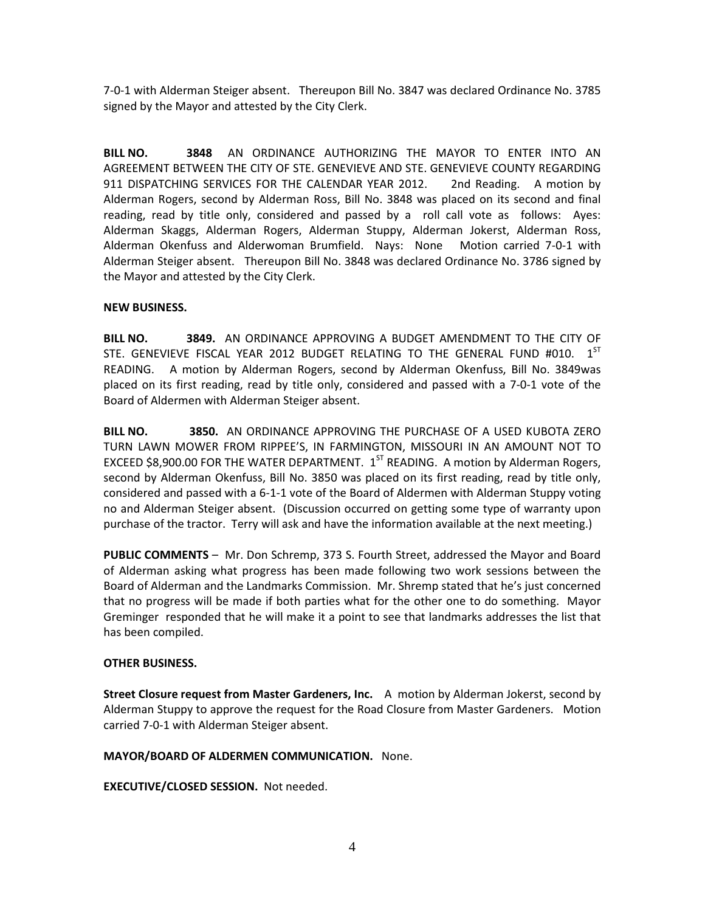7-0-1 with Alderman Steiger absent. Thereupon Bill No. 3847 was declared Ordinance No. 3785 signed by the Mayor and attested by the City Clerk.

BILL NO. 3848 AN ORDINANCE AUTHORIZING THE MAYOR TO ENTER INTO AN AGREEMENT BETWEEN THE CITY OF STE. GENEVIEVE AND STE. GENEVIEVE COUNTY REGARDING 911 DISPATCHING SERVICES FOR THE CALENDAR YEAR 2012. 2nd Reading. A motion by Alderman Rogers, second by Alderman Ross, Bill No. 3848 was placed on its second and final reading, read by title only, considered and passed by a roll call vote as follows: Ayes: Alderman Skaggs, Alderman Rogers, Alderman Stuppy, Alderman Jokerst, Alderman Ross, Alderman Okenfuss and Alderwoman Brumfield. Nays: None Motion carried 7-0-1 with Alderman Steiger absent. Thereupon Bill No. 3848 was declared Ordinance No. 3786 signed by the Mayor and attested by the City Clerk.

# NEW BUSINESS.

BILL NO. **3849.** AN ORDINANCE APPROVING A BUDGET AMENDMENT TO THE CITY OF STE. GENEVIEVE FISCAL YEAR 2012 BUDGET RELATING TO THE GENERAL FUND #010. 1<sup>ST</sup> READING. A motion by Alderman Rogers, second by Alderman Okenfuss, Bill No. 3849was placed on its first reading, read by title only, considered and passed with a 7-0-1 vote of the Board of Aldermen with Alderman Steiger absent.

BILL NO. 3850. AN ORDINANCE APPROVING THE PURCHASE OF A USED KUBOTA ZERO TURN LAWN MOWER FROM RIPPEE'S, IN FARMINGTON, MISSOURI IN AN AMOUNT NOT TO EXCEED \$8,900.00 FOR THE WATER DEPARTMENT.  $1^{ST}$  READING. A motion by Alderman Rogers, second by Alderman Okenfuss, Bill No. 3850 was placed on its first reading, read by title only, considered and passed with a 6-1-1 vote of the Board of Aldermen with Alderman Stuppy voting no and Alderman Steiger absent. (Discussion occurred on getting some type of warranty upon purchase of the tractor. Terry will ask and have the information available at the next meeting.)

PUBLIC COMMENTS - Mr. Don Schremp, 373 S. Fourth Street, addressed the Mayor and Board of Alderman asking what progress has been made following two work sessions between the Board of Alderman and the Landmarks Commission. Mr. Shremp stated that he's just concerned that no progress will be made if both parties what for the other one to do something. Mayor Greminger responded that he will make it a point to see that landmarks addresses the list that has been compiled.

#### OTHER BUSINESS.

Street Closure request from Master Gardeners, Inc. A motion by Alderman Jokerst, second by Alderman Stuppy to approve the request for the Road Closure from Master Gardeners. Motion carried 7-0-1 with Alderman Steiger absent.

#### MAYOR/BOARD OF ALDERMEN COMMUNICATION. None.

EXECUTIVE/CLOSED SESSION. Not needed.